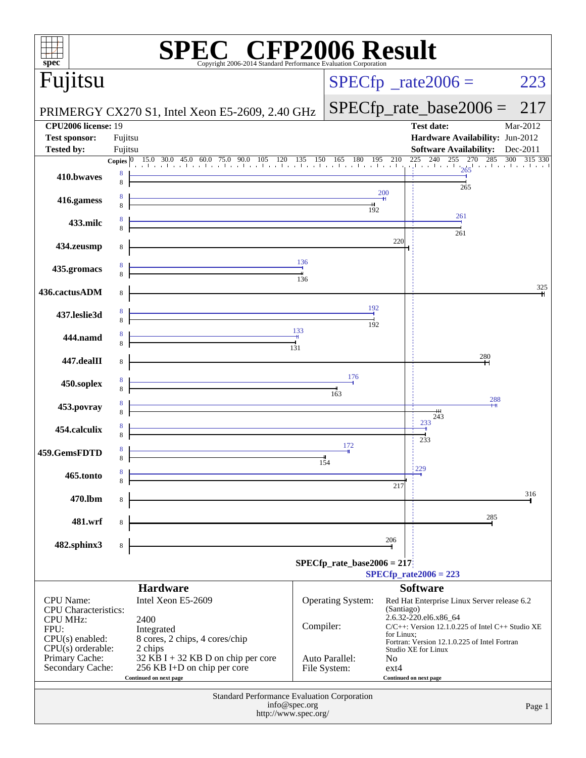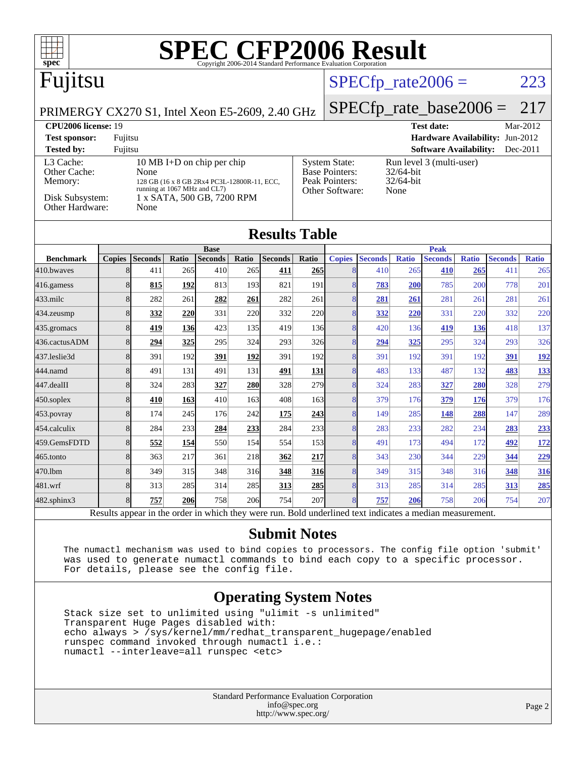| SPECCEP2006 Examplard Performance Evaluation Corporation<br>$spec^*$                                                                                                                                                                                                                                                                                                                             |   |                |       |                               |       |                |            |                |                |              |                               |       |                |              |
|--------------------------------------------------------------------------------------------------------------------------------------------------------------------------------------------------------------------------------------------------------------------------------------------------------------------------------------------------------------------------------------------------|---|----------------|-------|-------------------------------|-------|----------------|------------|----------------|----------------|--------------|-------------------------------|-------|----------------|--------------|
| Fujitsu                                                                                                                                                                                                                                                                                                                                                                                          |   |                |       |                               |       |                |            |                |                |              | $SPECfp\_rate2006 =$          |       |                | 223          |
| PRIMERGY CX270 S1, Intel Xeon E5-2609, 2.40 GHz                                                                                                                                                                                                                                                                                                                                                  |   |                |       |                               |       |                |            |                |                |              | $SPECfp\_rate\_base2006 =$    |       |                | 217          |
| <b>CPU2006</b> license: 19<br><b>Test date:</b><br>Mar-2012                                                                                                                                                                                                                                                                                                                                      |   |                |       |                               |       |                |            |                |                |              |                               |       |                |              |
| Hardware Availability: Jun-2012<br><b>Test sponsor:</b><br>Fujitsu                                                                                                                                                                                                                                                                                                                               |   |                |       |                               |       |                |            |                |                |              |                               |       |                |              |
| <b>Software Availability:</b><br><b>Tested by:</b><br>Fujitsu<br>Dec-2011                                                                                                                                                                                                                                                                                                                        |   |                |       |                               |       |                |            |                |                |              |                               |       |                |              |
| L3 Cache:<br>10 MB I+D on chip per chip<br><b>System State:</b><br>Run level 3 (multi-user)<br><b>Base Pointers:</b><br>Other Cache:<br>None<br>32/64-bit<br><b>Peak Pointers:</b><br>32/64-bit<br>Memory:<br>128 GB (16 x 8 GB 2Rx4 PC3L-12800R-11, ECC,<br>running at 1067 MHz and CL7)<br>Other Software:<br>None<br>Disk Subsystem:<br>1 x SATA, 500 GB, 7200 RPM<br>Other Hardware:<br>None |   |                |       |                               |       |                |            |                |                |              |                               |       |                |              |
| <b>Results Table</b>                                                                                                                                                                                                                                                                                                                                                                             |   |                |       |                               |       |                |            |                |                |              |                               |       |                |              |
| <b>Benchmark</b>                                                                                                                                                                                                                                                                                                                                                                                 |   | Copies Seconds | Ratio | <b>Base</b><br><b>Seconds</b> | Ratio | <b>Seconds</b> | Ratio      | <b>Copies</b>  | <b>Seconds</b> | <b>Ratio</b> | <b>Peak</b><br><b>Seconds</b> | Ratio | <b>Seconds</b> | <b>Ratio</b> |
| 410.bwayes                                                                                                                                                                                                                                                                                                                                                                                       | 8 | 411            | 265   | 410                           | 265   | 411            | 265        | 8              | 410            | 265          | 410                           | 265   | 411            | 265          |
| $416$ .gamess                                                                                                                                                                                                                                                                                                                                                                                    | 8 | 815            | 192   | 813                           | 193   | 821            | 191        | 8              | 783            | 200          | 785                           | 200   | 778            | 201          |
| $433$ .milc                                                                                                                                                                                                                                                                                                                                                                                      | 8 | 282            | 261   | 282                           | 261   | 282            | 261        | 8              | 281            | 261          | 281                           | 261   | 281            | 261          |
| $434$ . zeusmp                                                                                                                                                                                                                                                                                                                                                                                   | 8 | 332            | 220   | 331                           | 220   | 332            | 220        | 8              | 332            | 220          | 331                           | 220   | 332            | 220          |
| $435$ .gromacs                                                                                                                                                                                                                                                                                                                                                                                   | 8 | 419            | 136   | 423                           | 135   | 419            | <b>136</b> | 8              | 420            | 136          | 419                           | 136   | 418            | 137          |
| 436.cactusADM                                                                                                                                                                                                                                                                                                                                                                                    | 8 | 294            | 325   | 295                           | 324   | 293            | 326        | 8              | 294            | 325          | 295                           | 324   | 293            | 326          |
| 437.leslie3d                                                                                                                                                                                                                                                                                                                                                                                     | 8 | 391            | 192   | 391                           | 192   | 391            | 192        | 8              | 391            | 192          | 391                           | 192   | 391            | 192          |
| 444.namd                                                                                                                                                                                                                                                                                                                                                                                         | 8 | 491            | 131   | 491                           | 131   | 491            | 131        | $\overline{8}$ | 483            | 133          | 487                           | 132   | 483            | 133          |
| 447.dealII                                                                                                                                                                                                                                                                                                                                                                                       | 8 | 324            | 283   | 327                           | 280   | 328            | 279        | 8              | 324            | 283          | 327                           | 280   | 328            | 279          |
| $450$ .soplex                                                                                                                                                                                                                                                                                                                                                                                    | 8 | 410            | 163   | 410                           | 163   | 408            | 163        | 8              | 379            | 176          | 379                           | 176   | 379            | 176          |
| 453.povray                                                                                                                                                                                                                                                                                                                                                                                       | 8 | 174            | 245   | 176                           | 242   | 175            | 243        | 8              | 149            | 285          | 148                           | 288   | 147            | 289          |
| 454.calculix                                                                                                                                                                                                                                                                                                                                                                                     | 8 | 284            | 233   | 284                           | 233   | 284            | 233        | 8              | 283            | 233          | 282                           | 234   | 283            | 233          |
| 459.GemsFDTD                                                                                                                                                                                                                                                                                                                                                                                     | 8 | 552            | 154   | 550                           | 154   | 554            | <b>153</b> | 8              | 491            | 173          | 494                           | 172   | 492            | 172          |

[482.sphinx3](http://www.spec.org/auto/cpu2006/Docs/482.sphinx3.html) 8 **[757](http://www.spec.org/auto/cpu2006/Docs/result-fields.html#Median) [206](http://www.spec.org/auto/cpu2006/Docs/result-fields.html#Median)** 758 206 754 207 8 **[757](http://www.spec.org/auto/cpu2006/Docs/result-fields.html#Median) [206](http://www.spec.org/auto/cpu2006/Docs/result-fields.html#Median)** 758 206 754 207

Results appear in the [order in which they were run.](http://www.spec.org/auto/cpu2006/Docs/result-fields.html#RunOrder) Bold underlined text [indicates a median measurement.](http://www.spec.org/auto/cpu2006/Docs/result-fields.html#Median)

[465.tonto](http://www.spec.org/auto/cpu2006/Docs/465.tonto.html) 8 363 217 361 218 **[362](http://www.spec.org/auto/cpu2006/Docs/result-fields.html#Median) [217](http://www.spec.org/auto/cpu2006/Docs/result-fields.html#Median)** 8 343 230 344 229 **[344](http://www.spec.org/auto/cpu2006/Docs/result-fields.html#Median) [229](http://www.spec.org/auto/cpu2006/Docs/result-fields.html#Median)** [470.lbm](http://www.spec.org/auto/cpu2006/Docs/470.lbm.html) 8 349 315 348 316 **[348](http://www.spec.org/auto/cpu2006/Docs/result-fields.html#Median) [316](http://www.spec.org/auto/cpu2006/Docs/result-fields.html#Median)** 8 349 315 348 316 **[348](http://www.spec.org/auto/cpu2006/Docs/result-fields.html#Median) [316](http://www.spec.org/auto/cpu2006/Docs/result-fields.html#Median)** [481.wrf](http://www.spec.org/auto/cpu2006/Docs/481.wrf.html) 8 313 285 314 285 **[313](http://www.spec.org/auto/cpu2006/Docs/result-fields.html#Median) [285](http://www.spec.org/auto/cpu2006/Docs/result-fields.html#Median)** 8 313 285 314 285 **[313](http://www.spec.org/auto/cpu2006/Docs/result-fields.html#Median) [285](http://www.spec.org/auto/cpu2006/Docs/result-fields.html#Median)**

#### **[Submit Notes](http://www.spec.org/auto/cpu2006/Docs/result-fields.html#SubmitNotes)**

 The numactl mechanism was used to bind copies to processors. The config file option 'submit' was used to generate numactl commands to bind each copy to a specific processor. For details, please see the config file.

#### **[Operating System Notes](http://www.spec.org/auto/cpu2006/Docs/result-fields.html#OperatingSystemNotes)**

 Stack size set to unlimited using "ulimit -s unlimited" Transparent Huge Pages disabled with: echo always > /sys/kernel/mm/redhat\_transparent\_hugepage/enabled runspec command invoked through numactl i.e.: numactl --interleave=all runspec <etc>

> Standard Performance Evaluation Corporation [info@spec.org](mailto:info@spec.org) <http://www.spec.org/>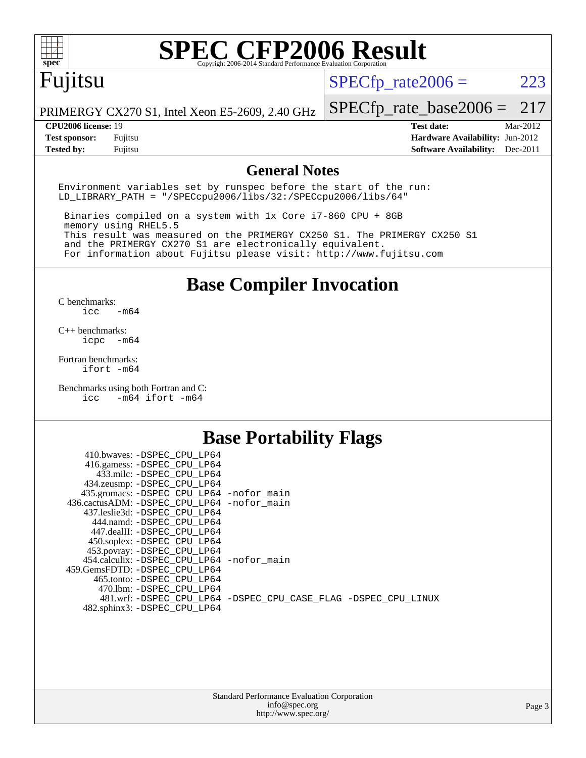

# **[SPEC CFP2006 Result](http://www.spec.org/auto/cpu2006/Docs/result-fields.html#SPECCFP2006Result)**

# Fujitsu

 $SPECTp_rate2006 = 223$ 

PRIMERGY CX270 S1, Intel Xeon E5-2609, 2.40 GHz

#### **[CPU2006 license:](http://www.spec.org/auto/cpu2006/Docs/result-fields.html#CPU2006license)** 19 **[Test date:](http://www.spec.org/auto/cpu2006/Docs/result-fields.html#Testdate)** Mar-2012

[SPECfp\\_rate\\_base2006 =](http://www.spec.org/auto/cpu2006/Docs/result-fields.html#SPECfpratebase2006) 217

**[Test sponsor:](http://www.spec.org/auto/cpu2006/Docs/result-fields.html#Testsponsor)** Fujitsu **[Hardware Availability:](http://www.spec.org/auto/cpu2006/Docs/result-fields.html#HardwareAvailability)** Jun-2012 **[Tested by:](http://www.spec.org/auto/cpu2006/Docs/result-fields.html#Testedby)** Fujitsu **[Software Availability:](http://www.spec.org/auto/cpu2006/Docs/result-fields.html#SoftwareAvailability)** Dec-2011

#### **[General Notes](http://www.spec.org/auto/cpu2006/Docs/result-fields.html#GeneralNotes)**

Environment variables set by runspec before the start of the run: LD\_LIBRARY\_PATH = "/SPECcpu2006/libs/32:/SPECcpu2006/libs/64"

 Binaries compiled on a system with 1x Core i7-860 CPU + 8GB memory using RHEL5.5 This result was measured on the PRIMERGY CX250 S1. The PRIMERGY CX250 S1 and the PRIMERGY CX270 S1 are electronically equivalent. For information about Fujitsu please visit: <http://www.fujitsu.com>

**[Base Compiler Invocation](http://www.spec.org/auto/cpu2006/Docs/result-fields.html#BaseCompilerInvocation)**

 $C$  benchmarks:<br>icc  $-m64$ 

[C++ benchmarks:](http://www.spec.org/auto/cpu2006/Docs/result-fields.html#CXXbenchmarks) [icpc -m64](http://www.spec.org/cpu2006/results/res2012q3/cpu2006-20120620-23091.flags.html#user_CXXbase_intel_icpc_64bit_bedb90c1146cab66620883ef4f41a67e)

[Fortran benchmarks](http://www.spec.org/auto/cpu2006/Docs/result-fields.html#Fortranbenchmarks): [ifort -m64](http://www.spec.org/cpu2006/results/res2012q3/cpu2006-20120620-23091.flags.html#user_FCbase_intel_ifort_64bit_ee9d0fb25645d0210d97eb0527dcc06e)

[Benchmarks using both Fortran and C](http://www.spec.org/auto/cpu2006/Docs/result-fields.html#BenchmarksusingbothFortranandC): [icc -m64](http://www.spec.org/cpu2006/results/res2012q3/cpu2006-20120620-23091.flags.html#user_CC_FCbase_intel_icc_64bit_0b7121f5ab7cfabee23d88897260401c) [ifort -m64](http://www.spec.org/cpu2006/results/res2012q3/cpu2006-20120620-23091.flags.html#user_CC_FCbase_intel_ifort_64bit_ee9d0fb25645d0210d97eb0527dcc06e)

#### **[Base Portability Flags](http://www.spec.org/auto/cpu2006/Docs/result-fields.html#BasePortabilityFlags)**

| 410.bwaves: -DSPEC CPU LP64                              |                                                                |
|----------------------------------------------------------|----------------------------------------------------------------|
| 416.gamess: -DSPEC_CPU_LP64<br>433.milc: -DSPEC CPU LP64 |                                                                |
| 434.zeusmp: - DSPEC_CPU_LP64                             |                                                                |
| 435.gromacs: -DSPEC_CPU_LP64 -nofor_main                 |                                                                |
| 436.cactusADM: -DSPEC CPU LP64 -nofor main               |                                                                |
| 437.leslie3d: -DSPEC CPU LP64                            |                                                                |
| 444.namd: -DSPEC CPU LP64                                |                                                                |
| 447.dealII: -DSPEC_CPU LP64                              |                                                                |
| 450.soplex: -DSPEC_CPU_LP64                              |                                                                |
| 453.povray: -DSPEC_CPU_LP64                              |                                                                |
| 454.calculix: -DSPEC CPU LP64 -nofor main                |                                                                |
| 459. GemsFDTD: - DSPEC CPU LP64                          |                                                                |
| 465.tonto: - DSPEC CPU LP64                              |                                                                |
| 470.1bm: - DSPEC_CPU LP64                                | 481.wrf: -DSPEC CPU_LP64 -DSPEC_CPU_CASE_FLAG -DSPEC_CPU_LINUX |
| 482.sphinx3: -DSPEC_CPU_LP64                             |                                                                |
|                                                          |                                                                |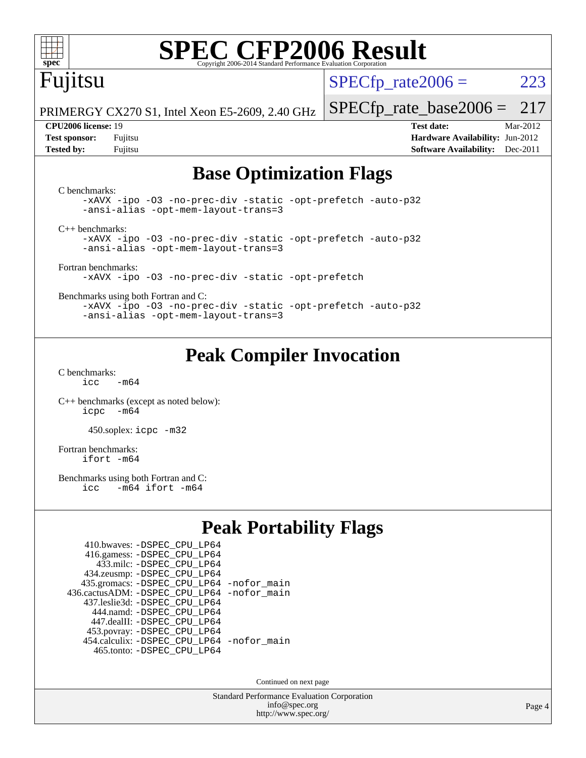

# **[SPEC CFP2006 Result](http://www.spec.org/auto/cpu2006/Docs/result-fields.html#SPECCFP2006Result)**

# Fujitsu

 $SPECTp\_rate2006 = 223$ 

PRIMERGY CX270 S1, Intel Xeon E5-2609, 2.40 GHz

[SPECfp\\_rate\\_base2006 =](http://www.spec.org/auto/cpu2006/Docs/result-fields.html#SPECfpratebase2006) 217

**[CPU2006 license:](http://www.spec.org/auto/cpu2006/Docs/result-fields.html#CPU2006license)** 19 **[Test date:](http://www.spec.org/auto/cpu2006/Docs/result-fields.html#Testdate)** Mar-2012 **[Test sponsor:](http://www.spec.org/auto/cpu2006/Docs/result-fields.html#Testsponsor)** Fujitsu **[Hardware Availability:](http://www.spec.org/auto/cpu2006/Docs/result-fields.html#HardwareAvailability)** Jun-2012 **[Tested by:](http://www.spec.org/auto/cpu2006/Docs/result-fields.html#Testedby)** Fujitsu **[Software Availability:](http://www.spec.org/auto/cpu2006/Docs/result-fields.html#SoftwareAvailability)** Dec-2011

#### **[Base Optimization Flags](http://www.spec.org/auto/cpu2006/Docs/result-fields.html#BaseOptimizationFlags)**

[C benchmarks](http://www.spec.org/auto/cpu2006/Docs/result-fields.html#Cbenchmarks): [-xAVX](http://www.spec.org/cpu2006/results/res2012q3/cpu2006-20120620-23091.flags.html#user_CCbase_f-xAVX) [-ipo](http://www.spec.org/cpu2006/results/res2012q3/cpu2006-20120620-23091.flags.html#user_CCbase_f-ipo) [-O3](http://www.spec.org/cpu2006/results/res2012q3/cpu2006-20120620-23091.flags.html#user_CCbase_f-O3) [-no-prec-div](http://www.spec.org/cpu2006/results/res2012q3/cpu2006-20120620-23091.flags.html#user_CCbase_f-no-prec-div) [-static](http://www.spec.org/cpu2006/results/res2012q3/cpu2006-20120620-23091.flags.html#user_CCbase_f-static) [-opt-prefetch](http://www.spec.org/cpu2006/results/res2012q3/cpu2006-20120620-23091.flags.html#user_CCbase_f-opt-prefetch) [-auto-p32](http://www.spec.org/cpu2006/results/res2012q3/cpu2006-20120620-23091.flags.html#user_CCbase_f-auto-p32) [-ansi-alias](http://www.spec.org/cpu2006/results/res2012q3/cpu2006-20120620-23091.flags.html#user_CCbase_f-ansi-alias) [-opt-mem-layout-trans=3](http://www.spec.org/cpu2006/results/res2012q3/cpu2006-20120620-23091.flags.html#user_CCbase_f-opt-mem-layout-trans_a7b82ad4bd7abf52556d4961a2ae94d5) [C++ benchmarks:](http://www.spec.org/auto/cpu2006/Docs/result-fields.html#CXXbenchmarks) [-xAVX](http://www.spec.org/cpu2006/results/res2012q3/cpu2006-20120620-23091.flags.html#user_CXXbase_f-xAVX) [-ipo](http://www.spec.org/cpu2006/results/res2012q3/cpu2006-20120620-23091.flags.html#user_CXXbase_f-ipo) [-O3](http://www.spec.org/cpu2006/results/res2012q3/cpu2006-20120620-23091.flags.html#user_CXXbase_f-O3) [-no-prec-div](http://www.spec.org/cpu2006/results/res2012q3/cpu2006-20120620-23091.flags.html#user_CXXbase_f-no-prec-div) [-static](http://www.spec.org/cpu2006/results/res2012q3/cpu2006-20120620-23091.flags.html#user_CXXbase_f-static) [-opt-prefetch](http://www.spec.org/cpu2006/results/res2012q3/cpu2006-20120620-23091.flags.html#user_CXXbase_f-opt-prefetch) [-auto-p32](http://www.spec.org/cpu2006/results/res2012q3/cpu2006-20120620-23091.flags.html#user_CXXbase_f-auto-p32) [-ansi-alias](http://www.spec.org/cpu2006/results/res2012q3/cpu2006-20120620-23091.flags.html#user_CXXbase_f-ansi-alias) [-opt-mem-layout-trans=3](http://www.spec.org/cpu2006/results/res2012q3/cpu2006-20120620-23091.flags.html#user_CXXbase_f-opt-mem-layout-trans_a7b82ad4bd7abf52556d4961a2ae94d5) [Fortran benchmarks](http://www.spec.org/auto/cpu2006/Docs/result-fields.html#Fortranbenchmarks): [-xAVX](http://www.spec.org/cpu2006/results/res2012q3/cpu2006-20120620-23091.flags.html#user_FCbase_f-xAVX) [-ipo](http://www.spec.org/cpu2006/results/res2012q3/cpu2006-20120620-23091.flags.html#user_FCbase_f-ipo) [-O3](http://www.spec.org/cpu2006/results/res2012q3/cpu2006-20120620-23091.flags.html#user_FCbase_f-O3) [-no-prec-div](http://www.spec.org/cpu2006/results/res2012q3/cpu2006-20120620-23091.flags.html#user_FCbase_f-no-prec-div) [-static](http://www.spec.org/cpu2006/results/res2012q3/cpu2006-20120620-23091.flags.html#user_FCbase_f-static) [-opt-prefetch](http://www.spec.org/cpu2006/results/res2012q3/cpu2006-20120620-23091.flags.html#user_FCbase_f-opt-prefetch) [Benchmarks using both Fortran and C](http://www.spec.org/auto/cpu2006/Docs/result-fields.html#BenchmarksusingbothFortranandC): [-xAVX](http://www.spec.org/cpu2006/results/res2012q3/cpu2006-20120620-23091.flags.html#user_CC_FCbase_f-xAVX) [-ipo](http://www.spec.org/cpu2006/results/res2012q3/cpu2006-20120620-23091.flags.html#user_CC_FCbase_f-ipo) [-O3](http://www.spec.org/cpu2006/results/res2012q3/cpu2006-20120620-23091.flags.html#user_CC_FCbase_f-O3) [-no-prec-div](http://www.spec.org/cpu2006/results/res2012q3/cpu2006-20120620-23091.flags.html#user_CC_FCbase_f-no-prec-div) [-static](http://www.spec.org/cpu2006/results/res2012q3/cpu2006-20120620-23091.flags.html#user_CC_FCbase_f-static) [-opt-prefetch](http://www.spec.org/cpu2006/results/res2012q3/cpu2006-20120620-23091.flags.html#user_CC_FCbase_f-opt-prefetch) [-auto-p32](http://www.spec.org/cpu2006/results/res2012q3/cpu2006-20120620-23091.flags.html#user_CC_FCbase_f-auto-p32) [-ansi-alias](http://www.spec.org/cpu2006/results/res2012q3/cpu2006-20120620-23091.flags.html#user_CC_FCbase_f-ansi-alias) [-opt-mem-layout-trans=3](http://www.spec.org/cpu2006/results/res2012q3/cpu2006-20120620-23091.flags.html#user_CC_FCbase_f-opt-mem-layout-trans_a7b82ad4bd7abf52556d4961a2ae94d5)

### **[Peak Compiler Invocation](http://www.spec.org/auto/cpu2006/Docs/result-fields.html#PeakCompilerInvocation)**

[C benchmarks](http://www.spec.org/auto/cpu2006/Docs/result-fields.html#Cbenchmarks):  $icc$   $-m64$ 

[C++ benchmarks \(except as noted below\):](http://www.spec.org/auto/cpu2006/Docs/result-fields.html#CXXbenchmarksexceptasnotedbelow) [icpc -m64](http://www.spec.org/cpu2006/results/res2012q3/cpu2006-20120620-23091.flags.html#user_CXXpeak_intel_icpc_64bit_bedb90c1146cab66620883ef4f41a67e)

450.soplex: [icpc -m32](http://www.spec.org/cpu2006/results/res2012q3/cpu2006-20120620-23091.flags.html#user_peakCXXLD450_soplex_intel_icpc_4e5a5ef1a53fd332b3c49e69c3330699)

[Fortran benchmarks](http://www.spec.org/auto/cpu2006/Docs/result-fields.html#Fortranbenchmarks): [ifort -m64](http://www.spec.org/cpu2006/results/res2012q3/cpu2006-20120620-23091.flags.html#user_FCpeak_intel_ifort_64bit_ee9d0fb25645d0210d97eb0527dcc06e)

[Benchmarks using both Fortran and C](http://www.spec.org/auto/cpu2006/Docs/result-fields.html#BenchmarksusingbothFortranandC):<br>icc -m64 ifort -m64  $-m64$  ifort  $-m64$ 

#### **[Peak Portability Flags](http://www.spec.org/auto/cpu2006/Docs/result-fields.html#PeakPortabilityFlags)**

| 410.bwaves: - DSPEC CPU LP64                 |  |
|----------------------------------------------|--|
| 416.gamess: -DSPEC_CPU_LP64                  |  |
| 433.milc: -DSPEC CPU LP64                    |  |
| 434.zeusmp: - DSPEC_CPU_LP64                 |  |
| 435.gromacs: -DSPEC_CPU_LP64 -nofor_main     |  |
| 436.cactusADM: - DSPEC CPU LP64 - nofor main |  |
| 437.leslie3d: -DSPEC CPU LP64                |  |
| 444.namd: - DSPEC CPU LP64                   |  |
| 447.dealII: -DSPEC CPU LP64                  |  |
| 453.povray: -DSPEC_CPU_LP64                  |  |
| 454.calculix: - DSPEC CPU LP64 - nofor main  |  |
| 465.tonto: -DSPEC CPU LP64                   |  |

Continued on next page

Standard Performance Evaluation Corporation [info@spec.org](mailto:info@spec.org) <http://www.spec.org/>

Page 4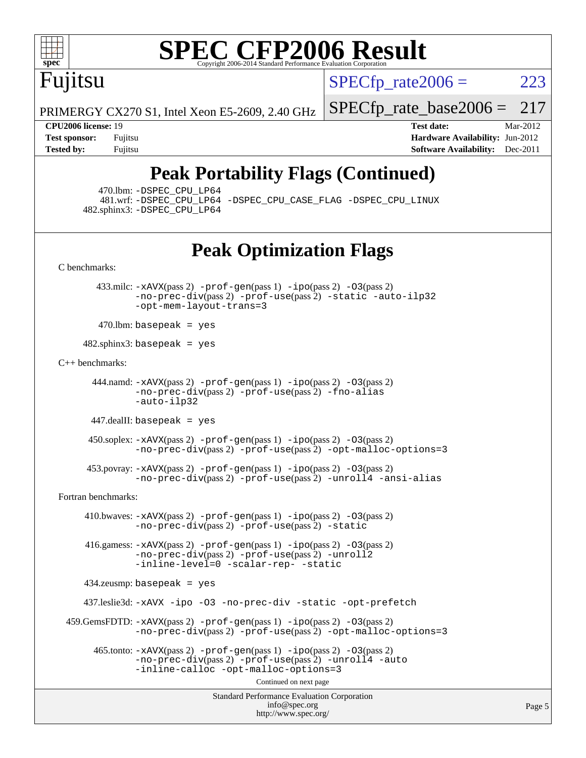

# **[SPEC CFP2006 Result](http://www.spec.org/auto/cpu2006/Docs/result-fields.html#SPECCFP2006Result)**

Fujitsu

 $SPECTp\_rate2006 = 223$ 

PRIMERGY CX270 S1, Intel Xeon E5-2609, 2.40 GHz [SPECfp\\_rate\\_base2006 =](http://www.spec.org/auto/cpu2006/Docs/result-fields.html#SPECfpratebase2006) 217

**[Tested by:](http://www.spec.org/auto/cpu2006/Docs/result-fields.html#Testedby)** Fujitsu **[Software Availability:](http://www.spec.org/auto/cpu2006/Docs/result-fields.html#SoftwareAvailability)** Dec-2011

**[CPU2006 license:](http://www.spec.org/auto/cpu2006/Docs/result-fields.html#CPU2006license)** 19 **[Test date:](http://www.spec.org/auto/cpu2006/Docs/result-fields.html#Testdate)** Mar-2012 **[Test sponsor:](http://www.spec.org/auto/cpu2006/Docs/result-fields.html#Testsponsor)** Fujitsu **[Hardware Availability:](http://www.spec.org/auto/cpu2006/Docs/result-fields.html#HardwareAvailability)** Jun-2012

# **[Peak Portability Flags \(Continued\)](http://www.spec.org/auto/cpu2006/Docs/result-fields.html#PeakPortabilityFlags)**

470.lbm: [-DSPEC\\_CPU\\_LP64](http://www.spec.org/cpu2006/results/res2012q3/cpu2006-20120620-23091.flags.html#suite_peakPORTABILITY470_lbm_DSPEC_CPU_LP64)

 481.wrf: [-DSPEC\\_CPU\\_LP64](http://www.spec.org/cpu2006/results/res2012q3/cpu2006-20120620-23091.flags.html#suite_peakPORTABILITY481_wrf_DSPEC_CPU_LP64) [-DSPEC\\_CPU\\_CASE\\_FLAG](http://www.spec.org/cpu2006/results/res2012q3/cpu2006-20120620-23091.flags.html#b481.wrf_peakCPORTABILITY_DSPEC_CPU_CASE_FLAG) [-DSPEC\\_CPU\\_LINUX](http://www.spec.org/cpu2006/results/res2012q3/cpu2006-20120620-23091.flags.html#b481.wrf_peakCPORTABILITY_DSPEC_CPU_LINUX) 482.sphinx3: [-DSPEC\\_CPU\\_LP64](http://www.spec.org/cpu2006/results/res2012q3/cpu2006-20120620-23091.flags.html#suite_peakPORTABILITY482_sphinx3_DSPEC_CPU_LP64)

## **[Peak Optimization Flags](http://www.spec.org/auto/cpu2006/Docs/result-fields.html#PeakOptimizationFlags)**

[C benchmarks](http://www.spec.org/auto/cpu2006/Docs/result-fields.html#Cbenchmarks):

 433.milc: [-xAVX](http://www.spec.org/cpu2006/results/res2012q3/cpu2006-20120620-23091.flags.html#user_peakPASS2_CFLAGSPASS2_LDFLAGS433_milc_f-xAVX)(pass 2) [-prof-gen](http://www.spec.org/cpu2006/results/res2012q3/cpu2006-20120620-23091.flags.html#user_peakPASS1_CFLAGSPASS1_LDFLAGS433_milc_prof_gen_e43856698f6ca7b7e442dfd80e94a8fc)(pass 1) [-ipo](http://www.spec.org/cpu2006/results/res2012q3/cpu2006-20120620-23091.flags.html#user_peakPASS2_CFLAGSPASS2_LDFLAGS433_milc_f-ipo)(pass 2) [-O3](http://www.spec.org/cpu2006/results/res2012q3/cpu2006-20120620-23091.flags.html#user_peakPASS2_CFLAGSPASS2_LDFLAGS433_milc_f-O3)(pass 2) [-no-prec-div](http://www.spec.org/cpu2006/results/res2012q3/cpu2006-20120620-23091.flags.html#user_peakPASS2_CFLAGSPASS2_LDFLAGS433_milc_f-no-prec-div)(pass 2) [-prof-use](http://www.spec.org/cpu2006/results/res2012q3/cpu2006-20120620-23091.flags.html#user_peakPASS2_CFLAGSPASS2_LDFLAGS433_milc_prof_use_bccf7792157ff70d64e32fe3e1250b55)(pass 2) [-static](http://www.spec.org/cpu2006/results/res2012q3/cpu2006-20120620-23091.flags.html#user_peakOPTIMIZE433_milc_f-static) [-auto-ilp32](http://www.spec.org/cpu2006/results/res2012q3/cpu2006-20120620-23091.flags.html#user_peakCOPTIMIZE433_milc_f-auto-ilp32) [-opt-mem-layout-trans=3](http://www.spec.org/cpu2006/results/res2012q3/cpu2006-20120620-23091.flags.html#user_peakCOPTIMIZE433_milc_f-opt-mem-layout-trans_a7b82ad4bd7abf52556d4961a2ae94d5)

 $470$ .lbm: basepeak = yes

 $482$ .sphinx $3$ : basepeak = yes

[C++ benchmarks:](http://www.spec.org/auto/cpu2006/Docs/result-fields.html#CXXbenchmarks)

 444.namd: [-xAVX](http://www.spec.org/cpu2006/results/res2012q3/cpu2006-20120620-23091.flags.html#user_peakPASS2_CXXFLAGSPASS2_LDFLAGS444_namd_f-xAVX)(pass 2) [-prof-gen](http://www.spec.org/cpu2006/results/res2012q3/cpu2006-20120620-23091.flags.html#user_peakPASS1_CXXFLAGSPASS1_LDFLAGS444_namd_prof_gen_e43856698f6ca7b7e442dfd80e94a8fc)(pass 1) [-ipo](http://www.spec.org/cpu2006/results/res2012q3/cpu2006-20120620-23091.flags.html#user_peakPASS2_CXXFLAGSPASS2_LDFLAGS444_namd_f-ipo)(pass 2) [-O3](http://www.spec.org/cpu2006/results/res2012q3/cpu2006-20120620-23091.flags.html#user_peakPASS2_CXXFLAGSPASS2_LDFLAGS444_namd_f-O3)(pass 2) [-no-prec-div](http://www.spec.org/cpu2006/results/res2012q3/cpu2006-20120620-23091.flags.html#user_peakPASS2_CXXFLAGSPASS2_LDFLAGS444_namd_f-no-prec-div)(pass 2) [-prof-use](http://www.spec.org/cpu2006/results/res2012q3/cpu2006-20120620-23091.flags.html#user_peakPASS2_CXXFLAGSPASS2_LDFLAGS444_namd_prof_use_bccf7792157ff70d64e32fe3e1250b55)(pass 2) [-fno-alias](http://www.spec.org/cpu2006/results/res2012q3/cpu2006-20120620-23091.flags.html#user_peakCXXOPTIMIZE444_namd_f-no-alias_694e77f6c5a51e658e82ccff53a9e63a) [-auto-ilp32](http://www.spec.org/cpu2006/results/res2012q3/cpu2006-20120620-23091.flags.html#user_peakCXXOPTIMIZE444_namd_f-auto-ilp32)

447.dealII: basepeak = yes

 450.soplex: [-xAVX](http://www.spec.org/cpu2006/results/res2012q3/cpu2006-20120620-23091.flags.html#user_peakPASS2_CXXFLAGSPASS2_LDFLAGS450_soplex_f-xAVX)(pass 2) [-prof-gen](http://www.spec.org/cpu2006/results/res2012q3/cpu2006-20120620-23091.flags.html#user_peakPASS1_CXXFLAGSPASS1_LDFLAGS450_soplex_prof_gen_e43856698f6ca7b7e442dfd80e94a8fc)(pass 1) [-ipo](http://www.spec.org/cpu2006/results/res2012q3/cpu2006-20120620-23091.flags.html#user_peakPASS2_CXXFLAGSPASS2_LDFLAGS450_soplex_f-ipo)(pass 2) [-O3](http://www.spec.org/cpu2006/results/res2012q3/cpu2006-20120620-23091.flags.html#user_peakPASS2_CXXFLAGSPASS2_LDFLAGS450_soplex_f-O3)(pass 2) [-no-prec-div](http://www.spec.org/cpu2006/results/res2012q3/cpu2006-20120620-23091.flags.html#user_peakPASS2_CXXFLAGSPASS2_LDFLAGS450_soplex_f-no-prec-div)(pass 2) [-prof-use](http://www.spec.org/cpu2006/results/res2012q3/cpu2006-20120620-23091.flags.html#user_peakPASS2_CXXFLAGSPASS2_LDFLAGS450_soplex_prof_use_bccf7792157ff70d64e32fe3e1250b55)(pass 2) [-opt-malloc-options=3](http://www.spec.org/cpu2006/results/res2012q3/cpu2006-20120620-23091.flags.html#user_peakOPTIMIZE450_soplex_f-opt-malloc-options_13ab9b803cf986b4ee62f0a5998c2238)

 453.povray: [-xAVX](http://www.spec.org/cpu2006/results/res2012q3/cpu2006-20120620-23091.flags.html#user_peakPASS2_CXXFLAGSPASS2_LDFLAGS453_povray_f-xAVX)(pass 2) [-prof-gen](http://www.spec.org/cpu2006/results/res2012q3/cpu2006-20120620-23091.flags.html#user_peakPASS1_CXXFLAGSPASS1_LDFLAGS453_povray_prof_gen_e43856698f6ca7b7e442dfd80e94a8fc)(pass 1) [-ipo](http://www.spec.org/cpu2006/results/res2012q3/cpu2006-20120620-23091.flags.html#user_peakPASS2_CXXFLAGSPASS2_LDFLAGS453_povray_f-ipo)(pass 2) [-O3](http://www.spec.org/cpu2006/results/res2012q3/cpu2006-20120620-23091.flags.html#user_peakPASS2_CXXFLAGSPASS2_LDFLAGS453_povray_f-O3)(pass 2) [-no-prec-div](http://www.spec.org/cpu2006/results/res2012q3/cpu2006-20120620-23091.flags.html#user_peakPASS2_CXXFLAGSPASS2_LDFLAGS453_povray_f-no-prec-div)(pass 2) [-prof-use](http://www.spec.org/cpu2006/results/res2012q3/cpu2006-20120620-23091.flags.html#user_peakPASS2_CXXFLAGSPASS2_LDFLAGS453_povray_prof_use_bccf7792157ff70d64e32fe3e1250b55)(pass 2) [-unroll4](http://www.spec.org/cpu2006/results/res2012q3/cpu2006-20120620-23091.flags.html#user_peakCXXOPTIMIZE453_povray_f-unroll_4e5e4ed65b7fd20bdcd365bec371b81f) [-ansi-alias](http://www.spec.org/cpu2006/results/res2012q3/cpu2006-20120620-23091.flags.html#user_peakCXXOPTIMIZE453_povray_f-ansi-alias)

[Fortran benchmarks](http://www.spec.org/auto/cpu2006/Docs/result-fields.html#Fortranbenchmarks):

 410.bwaves: [-xAVX](http://www.spec.org/cpu2006/results/res2012q3/cpu2006-20120620-23091.flags.html#user_peakPASS2_FFLAGSPASS2_LDFLAGS410_bwaves_f-xAVX)(pass 2) [-prof-gen](http://www.spec.org/cpu2006/results/res2012q3/cpu2006-20120620-23091.flags.html#user_peakPASS1_FFLAGSPASS1_LDFLAGS410_bwaves_prof_gen_e43856698f6ca7b7e442dfd80e94a8fc)(pass 1) [-ipo](http://www.spec.org/cpu2006/results/res2012q3/cpu2006-20120620-23091.flags.html#user_peakPASS2_FFLAGSPASS2_LDFLAGS410_bwaves_f-ipo)(pass 2) [-O3](http://www.spec.org/cpu2006/results/res2012q3/cpu2006-20120620-23091.flags.html#user_peakPASS2_FFLAGSPASS2_LDFLAGS410_bwaves_f-O3)(pass 2) [-no-prec-div](http://www.spec.org/cpu2006/results/res2012q3/cpu2006-20120620-23091.flags.html#user_peakPASS2_FFLAGSPASS2_LDFLAGS410_bwaves_f-no-prec-div)(pass 2) [-prof-use](http://www.spec.org/cpu2006/results/res2012q3/cpu2006-20120620-23091.flags.html#user_peakPASS2_FFLAGSPASS2_LDFLAGS410_bwaves_prof_use_bccf7792157ff70d64e32fe3e1250b55)(pass 2) [-static](http://www.spec.org/cpu2006/results/res2012q3/cpu2006-20120620-23091.flags.html#user_peakOPTIMIZE410_bwaves_f-static)

 416.gamess: [-xAVX](http://www.spec.org/cpu2006/results/res2012q3/cpu2006-20120620-23091.flags.html#user_peakPASS2_FFLAGSPASS2_LDFLAGS416_gamess_f-xAVX)(pass 2) [-prof-gen](http://www.spec.org/cpu2006/results/res2012q3/cpu2006-20120620-23091.flags.html#user_peakPASS1_FFLAGSPASS1_LDFLAGS416_gamess_prof_gen_e43856698f6ca7b7e442dfd80e94a8fc)(pass 1) [-ipo](http://www.spec.org/cpu2006/results/res2012q3/cpu2006-20120620-23091.flags.html#user_peakPASS2_FFLAGSPASS2_LDFLAGS416_gamess_f-ipo)(pass 2) [-O3](http://www.spec.org/cpu2006/results/res2012q3/cpu2006-20120620-23091.flags.html#user_peakPASS2_FFLAGSPASS2_LDFLAGS416_gamess_f-O3)(pass 2) [-no-prec-div](http://www.spec.org/cpu2006/results/res2012q3/cpu2006-20120620-23091.flags.html#user_peakPASS2_FFLAGSPASS2_LDFLAGS416_gamess_f-no-prec-div)(pass 2) [-prof-use](http://www.spec.org/cpu2006/results/res2012q3/cpu2006-20120620-23091.flags.html#user_peakPASS2_FFLAGSPASS2_LDFLAGS416_gamess_prof_use_bccf7792157ff70d64e32fe3e1250b55)(pass 2) [-unroll2](http://www.spec.org/cpu2006/results/res2012q3/cpu2006-20120620-23091.flags.html#user_peakOPTIMIZE416_gamess_f-unroll_784dae83bebfb236979b41d2422d7ec2) [-inline-level=0](http://www.spec.org/cpu2006/results/res2012q3/cpu2006-20120620-23091.flags.html#user_peakOPTIMIZE416_gamess_f-inline-level_318d07a09274ad25e8d15dbfaa68ba50) [-scalar-rep-](http://www.spec.org/cpu2006/results/res2012q3/cpu2006-20120620-23091.flags.html#user_peakOPTIMIZE416_gamess_f-disablescalarrep_abbcad04450fb118e4809c81d83c8a1d) [-static](http://www.spec.org/cpu2006/results/res2012q3/cpu2006-20120620-23091.flags.html#user_peakOPTIMIZE416_gamess_f-static)

434.zeusmp: basepeak = yes

437.leslie3d: [-xAVX](http://www.spec.org/cpu2006/results/res2012q3/cpu2006-20120620-23091.flags.html#user_peakOPTIMIZE437_leslie3d_f-xAVX) [-ipo](http://www.spec.org/cpu2006/results/res2012q3/cpu2006-20120620-23091.flags.html#user_peakOPTIMIZE437_leslie3d_f-ipo) [-O3](http://www.spec.org/cpu2006/results/res2012q3/cpu2006-20120620-23091.flags.html#user_peakOPTIMIZE437_leslie3d_f-O3) [-no-prec-div](http://www.spec.org/cpu2006/results/res2012q3/cpu2006-20120620-23091.flags.html#user_peakOPTIMIZE437_leslie3d_f-no-prec-div) [-static](http://www.spec.org/cpu2006/results/res2012q3/cpu2006-20120620-23091.flags.html#user_peakOPTIMIZE437_leslie3d_f-static) [-opt-prefetch](http://www.spec.org/cpu2006/results/res2012q3/cpu2006-20120620-23091.flags.html#user_peakOPTIMIZE437_leslie3d_f-opt-prefetch)

 459.GemsFDTD: [-xAVX](http://www.spec.org/cpu2006/results/res2012q3/cpu2006-20120620-23091.flags.html#user_peakPASS2_FFLAGSPASS2_LDFLAGS459_GemsFDTD_f-xAVX)(pass 2) [-prof-gen](http://www.spec.org/cpu2006/results/res2012q3/cpu2006-20120620-23091.flags.html#user_peakPASS1_FFLAGSPASS1_LDFLAGS459_GemsFDTD_prof_gen_e43856698f6ca7b7e442dfd80e94a8fc)(pass 1) [-ipo](http://www.spec.org/cpu2006/results/res2012q3/cpu2006-20120620-23091.flags.html#user_peakPASS2_FFLAGSPASS2_LDFLAGS459_GemsFDTD_f-ipo)(pass 2) [-O3](http://www.spec.org/cpu2006/results/res2012q3/cpu2006-20120620-23091.flags.html#user_peakPASS2_FFLAGSPASS2_LDFLAGS459_GemsFDTD_f-O3)(pass 2) [-no-prec-div](http://www.spec.org/cpu2006/results/res2012q3/cpu2006-20120620-23091.flags.html#user_peakPASS2_FFLAGSPASS2_LDFLAGS459_GemsFDTD_f-no-prec-div)(pass 2) [-prof-use](http://www.spec.org/cpu2006/results/res2012q3/cpu2006-20120620-23091.flags.html#user_peakPASS2_FFLAGSPASS2_LDFLAGS459_GemsFDTD_prof_use_bccf7792157ff70d64e32fe3e1250b55)(pass 2) [-opt-malloc-options=3](http://www.spec.org/cpu2006/results/res2012q3/cpu2006-20120620-23091.flags.html#user_peakOPTIMIZE459_GemsFDTD_f-opt-malloc-options_13ab9b803cf986b4ee62f0a5998c2238)

 $465$ .tonto:  $-x$ AVX(pass 2)  $-p$ rof-gen(pass 1)  $-p$ o(pass 2)  $-03$ (pass 2) [-no-prec-div](http://www.spec.org/cpu2006/results/res2012q3/cpu2006-20120620-23091.flags.html#user_peakPASS2_FFLAGSPASS2_LDFLAGS465_tonto_f-no-prec-div)(pass 2) [-prof-use](http://www.spec.org/cpu2006/results/res2012q3/cpu2006-20120620-23091.flags.html#user_peakPASS2_FFLAGSPASS2_LDFLAGS465_tonto_prof_use_bccf7792157ff70d64e32fe3e1250b55)(pass 2) [-unroll4](http://www.spec.org/cpu2006/results/res2012q3/cpu2006-20120620-23091.flags.html#user_peakOPTIMIZE465_tonto_f-unroll_4e5e4ed65b7fd20bdcd365bec371b81f) [-auto](http://www.spec.org/cpu2006/results/res2012q3/cpu2006-20120620-23091.flags.html#user_peakOPTIMIZE465_tonto_f-auto) [-inline-calloc](http://www.spec.org/cpu2006/results/res2012q3/cpu2006-20120620-23091.flags.html#user_peakOPTIMIZE465_tonto_f-inline-calloc) [-opt-malloc-options=3](http://www.spec.org/cpu2006/results/res2012q3/cpu2006-20120620-23091.flags.html#user_peakOPTIMIZE465_tonto_f-opt-malloc-options_13ab9b803cf986b4ee62f0a5998c2238)

Continued on next page

Standard Performance Evaluation Corporation [info@spec.org](mailto:info@spec.org) <http://www.spec.org/>